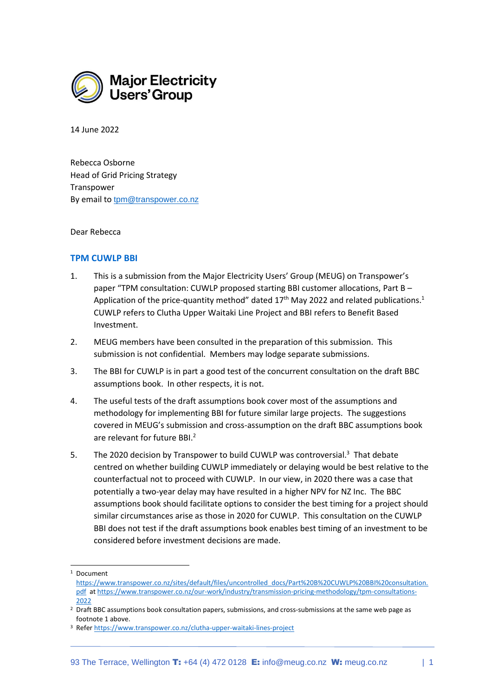

14 June 2022

Rebecca Osborne Head of Grid Pricing Strategy Transpower By email to [tpm@transpower.co.nz](mailto:tpm@transpower.co.nz)

Dear Rebecca

## **TPM CUWLP BBI**

- 1. This is a submission from the Major Electricity Users' Group (MEUG) on Transpower's paper "TPM consultation: CUWLP proposed starting BBI customer allocations, Part B – Application of the price-quantity method" dated 17<sup>th</sup> May 2022 and related publications.<sup>1</sup> CUWLP refers to Clutha Upper Waitaki Line Project and BBI refers to Benefit Based Investment.
- 2. MEUG members have been consulted in the preparation of this submission. This submission is not confidential. Members may lodge separate submissions.
- 3. The BBI for CUWLP is in part a good test of the concurrent consultation on the draft BBC assumptions book. In other respects, it is not.
- 4. The useful tests of the draft assumptions book cover most of the assumptions and methodology for implementing BBI for future similar large projects. The suggestions covered in MEUG's submission and cross-assumption on the draft BBC assumptions book are relevant for future BBI.<sup>2</sup>
- 5. The 2020 decision by Transpower to build CUWLP was controversial.<sup>3</sup> That debate centred on whether building CUWLP immediately or delaying would be best relative to the counterfactual not to proceed with CUWLP. In our view, in 2020 there was a case that potentially a two-year delay may have resulted in a higher NPV for NZ Inc. The BBC assumptions book should facilitate options to consider the best timing for a project should similar circumstances arise as those in 2020 for CUWLP. This consultation on the CUWLP BBI does not test if the draft assumptions book enables best timing of an investment to be considered before investment decisions are made.

<sup>&</sup>lt;sup>1</sup> Document

[https://www.transpower.co.nz/sites/default/files/uncontrolled\\_docs/Part%20B%20CUWLP%20BBI%20consultation.](https://www.transpower.co.nz/sites/default/files/uncontrolled_docs/Part%20B%20CUWLP%20BBI%20consultation.pdf) [pdf](https://www.transpower.co.nz/sites/default/files/uncontrolled_docs/Part%20B%20CUWLP%20BBI%20consultation.pdf) at [https://www.transpower.co.nz/our-work/industry/transmission-pricing-methodology/tpm-consultations-](https://www.transpower.co.nz/our-work/industry/transmission-pricing-methodology/tpm-consultations-2022)[2022](https://www.transpower.co.nz/our-work/industry/transmission-pricing-methodology/tpm-consultations-2022)

<sup>2</sup> Draft BBC assumptions book consultation papers, submissions, and cross-submissions at the same web page as footnote 1 above.

<sup>3</sup> Refer<https://www.transpower.co.nz/clutha-upper-waitaki-lines-project>